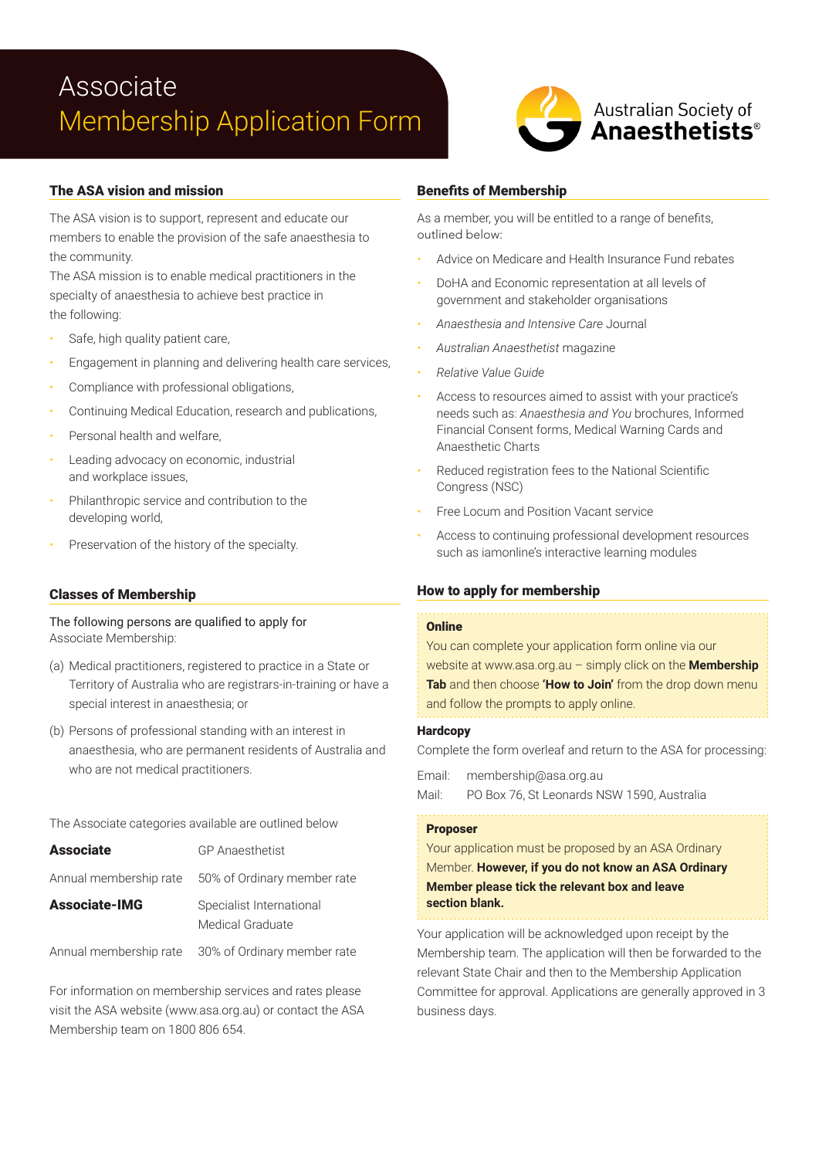## Associate Membership Application Form



## The ASA vision and mission

The ASA vision is to support, represent and educate our members to enable the provision of the safe anaesthesia to the community.

The ASA mission is to enable medical practitioners in the specialty of anaesthesia to achieve best practice in the following:

- Safe, high quality patient care,
- Engagement in planning and delivering health care services,
- Compliance with professional obligations,
- Continuing Medical Education, research and publications,
- Personal health and welfare.
- Leading advocacy on economic, industrial and workplace issues,
- Philanthropic service and contribution to the developing world,
- Preservation of the history of the specialty.

### Classes of Membership

The following persons are qualified to apply for Associate Membership:

- (a) Medical practitioners, registered to practice in a State or Territory of Australia who are registrars-in-training or have a special interest in anaesthesia; or
- (b) Persons of professional standing with an interest in anaesthesia, who are permanent residents of Australia and who are not medical practitioners.

The Associate categories available are outlined below

| <b>Associate</b>     | <b>GP</b> Anaesthetist                             |
|----------------------|----------------------------------------------------|
|                      | Annual membership rate 50% of Ordinary member rate |
| <b>Associate-IMG</b> | Specialist International<br>Medical Graduate       |

Annual membership rate 30% of Ordinary member rate

For information on membership services and rates please visit the ASA website (www.asa.org.au) or contact the ASA Membership team on 1800 806 654.

## Benefits of Membership

As a member, you will be entitled to a range of benefits, outlined below:

- Advice on Medicare and Health Insurance Fund rebates
- DoHA and Economic representation at all levels of government and stakeholder organisations
- *Anaesthesia and Intensive Care* Journal
- *Australian Anaesthetist* magazine
- *Relative Value Guide*
- Access to resources aimed to assist with your practice's needs such as: *Anaesthesia and You* brochures, Informed Financial Consent forms, Medical Warning Cards and Anaesthetic Charts
- Reduced registration fees to the National Scientific Congress (NSC)
- Free Locum and Position Vacant service
- Access to continuing professional development resources such as iamonline's interactive learning modules

### How to apply for membership

#### **Online**

You can complete your application form online via our website at www.asa.org.au – simply click on the **Membership Tab** and then choose **'How to Join'** from the drop down menu and follow the prompts to apply online.

#### **Hardcopy**

Complete the form overleaf and return to the ASA for processing:

Email: membership@asa.org.au

Mail: PO Box 76, St Leonards NSW 1590, Australia

#### Proposer

Your application must be proposed by an ASA Ordinary Member. **However, if you do not know an ASA Ordinary Member please tick the relevant box and leave section blank.**

Your application will be acknowledged upon receipt by the Membership team. The application will then be forwarded to the relevant State Chair and then to the Membership Application Committee for approval. Applications are generally approved in 3 business days.